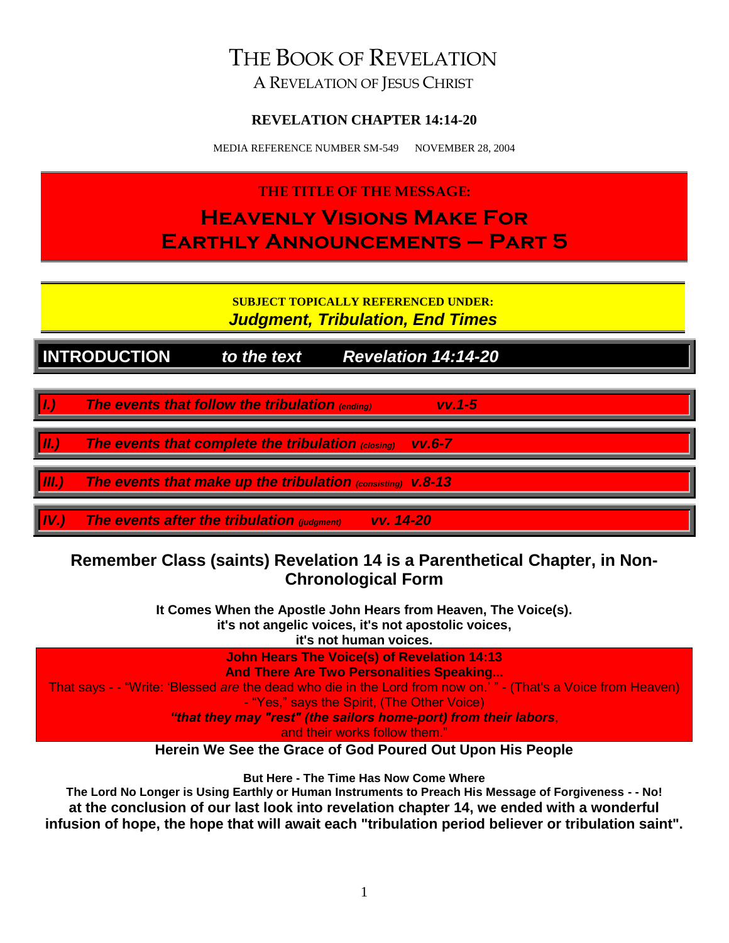# THE BOOK OF REVELATION

A REVELATION OF JESUS CHRIST

# **REVELATION CHAPTER 14:14-20**

MEDIA REFERENCE NUMBER SM-549 NOVEMBER 28, 2004

# **THE TITLE OF THE MESSAGE: Heavenly Visions Make For Earthly Announcements – Part 5**

**SUBJECT TOPICALLY REFERENCED UNDER:** *Judgment, Tribulation, End Times*

**INTRODUCTION** *to the text Revelation 14:14-20*

*I.) The events that follow the tribulation (ending) vv.1-5*

*II.) The events that complete the tribulation (closing) vv.6-7*

*III.) The events that make up the tribulation (consisting) v.8-13*

*IV.) The events after the tribulation (judgment) vv. 14-20*

# **Remember Class (saints) Revelation 14 is a Parenthetical Chapter, in Non-Chronological Form**

**It Comes When the Apostle John Hears from Heaven, The Voice(s). it's not angelic voices, it's not apostolic voices, it's not human voices.**

**John Hears The Voice(s) of Revelation 14:13 And There Are Two Personalities Speaking...** That says - - "Write: 'Blessed *are* the dead who die in the Lord from now on.' " - (That's a Voice from Heaven) - "Yes," says the Spirit, (The Other Voice) *"that they may "rest" (the sailors home-port) from their labors*, and their works follow them."

**Herein We See the Grace of God Poured Out Upon His People**

**But Here - The Time Has Now Come Where**

**The Lord No Longer is Using Earthly or Human Instruments to Preach His Message of Forgiveness - - No! at the conclusion of our last look into revelation chapter 14, we ended with a wonderful infusion of hope, the hope that will await each "tribulation period believer or tribulation saint".**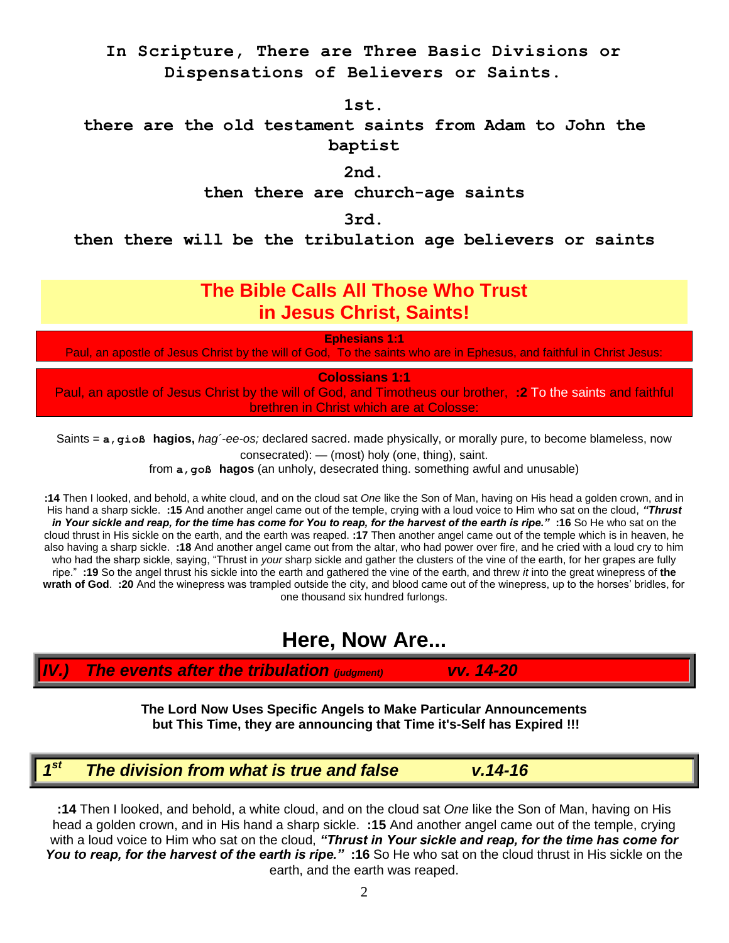# **In Scripture, There are Three Basic Divisions or Dispensations of Believers or Saints.**

**1st.**

**there are the old testament saints from Adam to John the baptist**

**2nd.**

**then there are church-age saints**

**3rd.**

**then there will be the tribulation age believers or saints**

# **The Bible Calls All Those Who Trust in Jesus Christ, Saints!**

**Ephesians 1:1**

Paul, an apostle of Jesus Christ by the will of God, To the saints who are in Ephesus, and faithful in Christ Jesus:

**Colossians 1:1**

Paul, an apostle of Jesus Christ by the will of God, and Timotheus our brother, **:2** To the saints and faithful brethren in Christ which are at Colosse:

Saints = **a'gioß hagios,** *hag´-ee-os;* declared sacred. made physically, or morally pure, to become blameless, now consecrated): — (most) holy (one, thing), saint.

from **a'goß hagos** (an unholy, desecrated thing. something awful and unusable)

**:14** Then I looked, and behold, a white cloud, and on the cloud sat *One* like the Son of Man, having on His head a golden crown, and in His hand a sharp sickle. **:15** And another angel came out of the temple, crying with a loud voice to Him who sat on the cloud, *"Thrust in Your sickle and reap, for the time has come for You to reap, for the harvest of the earth is ripe."* **:16** So He who sat on the cloud thrust in His sickle on the earth, and the earth was reaped. **:17** Then another angel came out of the temple which is in heaven, he also having a sharp sickle. **:18** And another angel came out from the altar, who had power over fire, and he cried with a loud cry to him who had the sharp sickle, saying, "Thrust in *your* sharp sickle and gather the clusters of the vine of the earth, for her grapes are fully ripe." **:19** So the angel thrust his sickle into the earth and gathered the vine of the earth, and threw *it* into the great winepress of **the wrath of God**. **:20** And the winepress was trampled outside the city, and blood came out of the winepress, up to the horses' bridles, for one thousand six hundred furlongs.

# **Here, Now Are...**

*IV.) The events after the tribulation (judgment) vv. 14-20*

**The Lord Now Uses Specific Angels to Make Particular Announcements but This Time, they are announcing that Time it's-Self has Expired !!!**

#### *1 st The division from what is true and false v.14-16*

**:14** Then I looked, and behold, a white cloud, and on the cloud sat *One* like the Son of Man, having on His head a golden crown, and in His hand a sharp sickle. **:15** And another angel came out of the temple, crying with a loud voice to Him who sat on the cloud, *"Thrust in Your sickle and reap, for the time has come for You to reap, for the harvest of the earth is ripe."* **:16** So He who sat on the cloud thrust in His sickle on the earth, and the earth was reaped.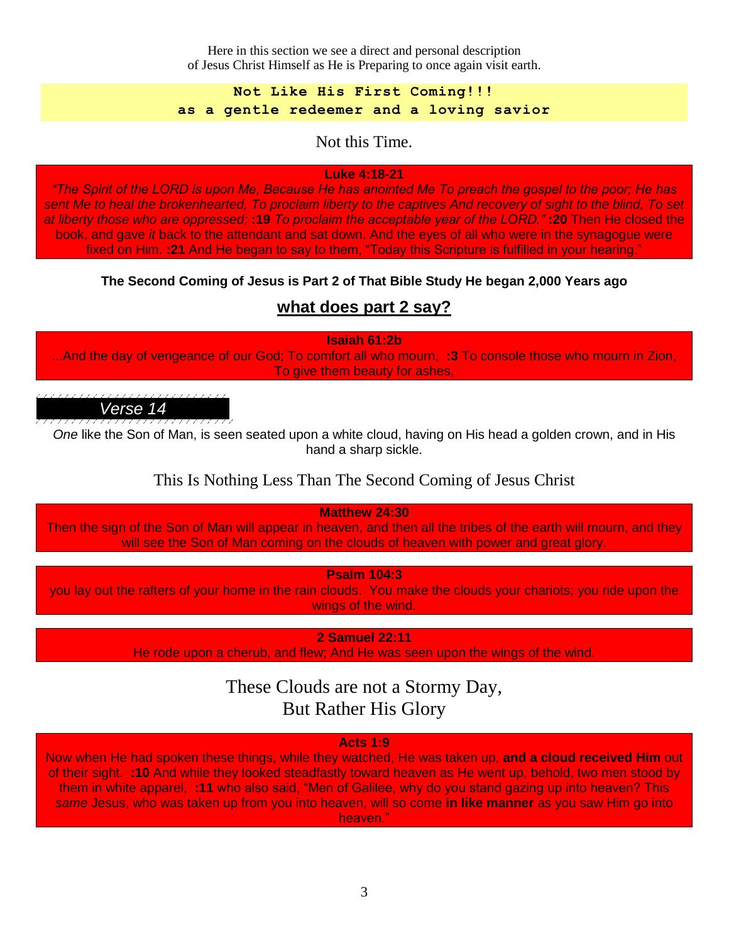Here in this section we see a direct and personal description of Jesus Christ Himself as He is Preparing to once again visit earth.

**Not Like His First Coming!!! as a gentle redeemer and a loving savior**

Not this Time.

## **Luke 4:18-21**

*"The Spirit of the LORD is upon Me, Because He has anointed Me To preach the gospel to the poor; He has sent Me to heal the brokenhearted, To proclaim liberty to the captives And recovery of sight to the blind, To set at liberty those who are oppressed;* **:19** *To proclaim the acceptable year of the LORD."* **:20** Then He closed the book, and gave *it* back to the attendant and sat down. And the eyes of all who were in the synagogue were fixed on Him. **:21** And He began to say to them, "Today this Scripture is fulfilled in your hearing."

# **The Second Coming of Jesus is Part 2 of That Bible Study He began 2,000 Years ago**

# **what does part 2 say?**

**Isaiah 61:2b** ...And the day of vengeance of our God; To comfort all who mourn, **:3** To console those who mourn in Zion, To give them beauty for ashes,



*One* like the Son of Man, is seen seated upon a white cloud, having on His head a golden crown, and in His hand a sharp sickle.

# This Is Nothing Less Than The Second Coming of Jesus Christ

**Matthew 24:30** Then the sign of the Son of Man will appear in heaven, and then all the tribes of the earth will mourn, and they will see the Son of Man coming on the clouds of heaven with power and great glory.

**Psalm 104:3**

you lay out the rafters of your home in the rain clouds. You make the clouds your chariots; you ride upon the wings of the wind.

**2 Samuel 22:11**

He rode upon a cherub, and flew; And He was seen upon the wings of the wind.

These Clouds are not a Stormy Day, But Rather His Glory

### **Acts 1:9**

Now when He had spoken these things, while they watched, He was taken up, **and a cloud received Him** out of their sight. **:10** And while they looked steadfastly toward heaven as He went up, behold, two men stood by them in white apparel, **:11** who also said, "Men of Galilee, why do you stand gazing up into heaven? This *same* Jesus, who was taken up from you into heaven, will so come **in like manner** as you saw Him go into heaven."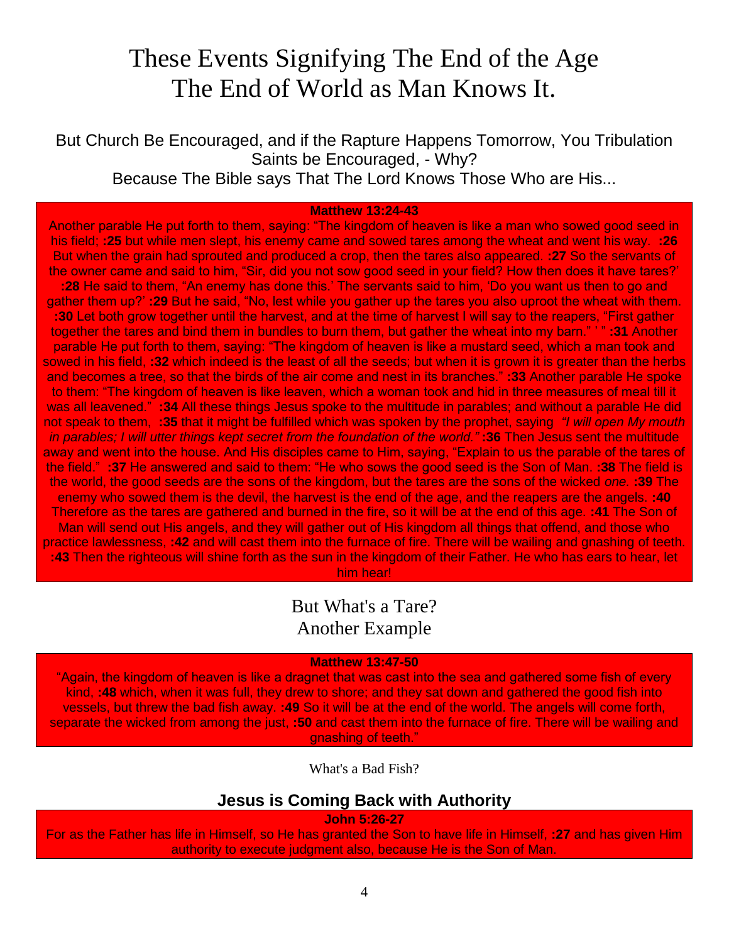# These Events Signifying The End of the Age The End of World as Man Knows It.

But Church Be Encouraged, and if the Rapture Happens Tomorrow, You Tribulation Saints be Encouraged, - Why? Because The Bible says That The Lord Knows Those Who are His...

#### **Matthew 13:24-43**

Another parable He put forth to them, saying: "The kingdom of heaven is like a man who sowed good seed in his field; **:25** but while men slept, his enemy came and sowed tares among the wheat and went his way. **:26** But when the grain had sprouted and produced a crop, then the tares also appeared. **:27** So the servants of the owner came and said to him, "Sir, did you not sow good seed in your field? How then does it have tares?' **:28** He said to them, "An enemy has done this.' The servants said to him, 'Do you want us then to go and gather them up?' **:29** But he said, "No, lest while you gather up the tares you also uproot the wheat with them. **:30** Let both grow together until the harvest, and at the time of harvest I will say to the reapers, "First gather together the tares and bind them in bundles to burn them, but gather the wheat into my barn." ' " **:31** Another parable He put forth to them, saying: "The kingdom of heaven is like a mustard seed, which a man took and sowed in his field, **:32** which indeed is the least of all the seeds; but when it is grown it is greater than the herbs and becomes a tree, so that the birds of the air come and nest in its branches." **:33** Another parable He spoke to them: "The kingdom of heaven is like leaven, which a woman took and hid in three measures of meal till it was all leavened." **:34** All these things Jesus spoke to the multitude in parables; and without a parable He did not speak to them, **:35** that it might be fulfilled which was spoken by the prophet, saying *"I will open My mouth in parables; I will utter things kept secret from the foundation of the world."* **:36** Then Jesus sent the multitude away and went into the house. And His disciples came to Him, saying, "Explain to us the parable of the tares of the field." **:37** He answered and said to them: "He who sows the good seed is the Son of Man. **:38** The field is the world, the good seeds are the sons of the kingdom, but the tares are the sons of the wicked *one.* **:39** The enemy who sowed them is the devil, the harvest is the end of the age, and the reapers are the angels. **:40** Therefore as the tares are gathered and burned in the fire, so it will be at the end of this age. **:41** The Son of Man will send out His angels, and they will gather out of His kingdom all things that offend, and those who practice lawlessness, **:42** and will cast them into the furnace of fire. There will be wailing and gnashing of teeth. **:43** Then the righteous will shine forth as the sun in the kingdom of their Father. He who has ears to hear, let him hear!

> But What's a Tare? Another Example

#### **Matthew 13:47-50**

"Again, the kingdom of heaven is like a dragnet that was cast into the sea and gathered some fish of every kind, **:48** which, when it was full, they drew to shore; and they sat down and gathered the good fish into vessels, but threw the bad fish away. **:49** So it will be at the end of the world. The angels will come forth, separate the wicked from among the just, **:50** and cast them into the furnace of fire. There will be wailing and gnashing of teeth."

What's a Bad Fish?

## **Jesus is Coming Back with Authority**

**John 5:26-27**

For as the Father has life in Himself, so He has granted the Son to have life in Himself, **:27** and has given Him authority to execute judgment also, because He is the Son of Man.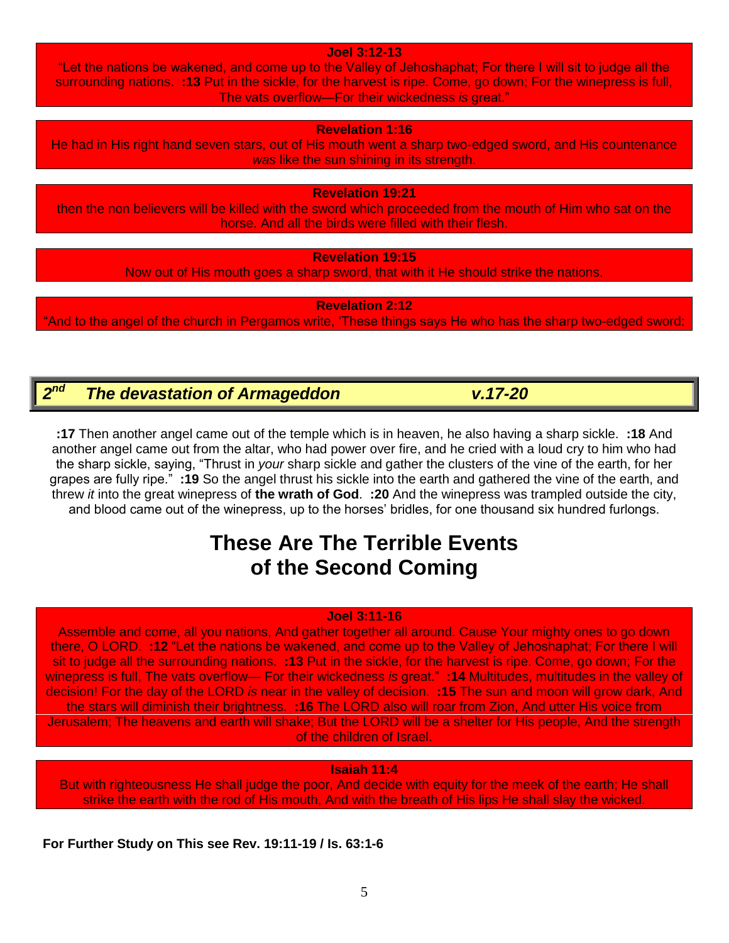**Joel 3:12-13**

"Let the nations be wakened, and come up to the Valley of Jehoshaphat; For there I will sit to judge all the surrounding nations. **:13** Put in the sickle, for the harvest is ripe. Come, go down; For the winepress is full, The vats overflow—For their wickedness *is* great."

**Revelation 1:16**

He had in His right hand seven stars, out of His mouth went a sharp two-edged sword, and His countenance *was* like the sun shining in its strength.

**Revelation 19:21**

then the non believers will be killed with the sword which proceeded from the mouth of Him who sat on the horse. And all the birds were filled with their flesh.

**Revelation 19:15**

Now out of His mouth goes a sharp sword, that with it He should strike the nations.

**Revelation 2:12**

"And to the angel of the church in Pergamos write, 'These things says He who has the sharp two-edged sword:

#### $2<sup>nd</sup>$ *nd The devastation of Armageddon v.17-20*

**:17** Then another angel came out of the temple which is in heaven, he also having a sharp sickle. **:18** And another angel came out from the altar, who had power over fire, and he cried with a loud cry to him who had the sharp sickle, saying, "Thrust in *your* sharp sickle and gather the clusters of the vine of the earth, for her grapes are fully ripe." **:19** So the angel thrust his sickle into the earth and gathered the vine of the earth, and threw *it* into the great winepress of **the wrath of God**. **:20** And the winepress was trampled outside the city, and blood came out of the winepress, up to the horses' bridles, for one thousand six hundred furlongs.

# **These Are The Terrible Events of the Second Coming**

### **Joel 3:11-16**

Assemble and come, all you nations, And gather together all around. Cause Your mighty ones to go down there, O LORD. **:12** "Let the nations be wakened, and come up to the Valley of Jehoshaphat; For there I will sit to judge all the surrounding nations. **:13** Put in the sickle, for the harvest is ripe. Come, go down; For the winepress is full, The vats overflow— For their wickedness *is* great." **:14** Multitudes, multitudes in the valley of decision! For the day of the LORD *is* near in the valley of decision. **:15** The sun and moon will grow dark, And the stars will diminish their brightness. **:16** The LORD also will roar from Zion, And utter His voice from Jerusalem; The heavens and earth will shake; But the LORD will be a shelter for His people, And the strength of the children of Israel.

### **Isaiah 11:4**

But with righteousness He shall judge the poor, And decide with equity for the meek of the earth; He shall strike the earth with the rod of His mouth, And with the breath of His lips He shall slay the wicked.

**For Further Study on This see Rev. 19:11-19 / Is. 63:1-6**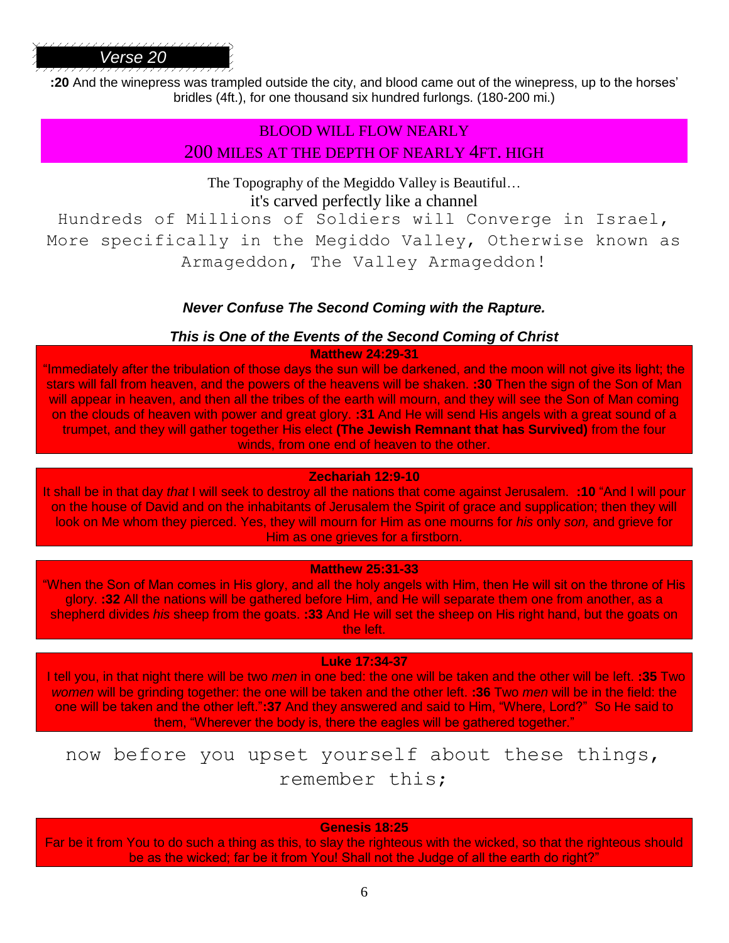**:20** And the winepress was trampled outside the city, and blood came out of the winepress, up to the horses' bridles (4ft.), for one thousand six hundred furlongs. (180-200 mi.)

# BLOOD WILL FLOW NEARLY 200 MILES AT THE DEPTH OF NEARLY 4FT. HIGH

The Topography of the Megiddo Valley is Beautiful… it's carved perfectly like a channel

Hundreds of Millions of Soldiers will Converge in Israel, More specifically in the Megiddo Valley, Otherwise known as Armageddon, The Valley Armageddon!

# *Never Confuse The Second Coming with the Rapture.*

## *This is One of the Events of the Second Coming of Christ*

### **Matthew 24:29-31**

"Immediately after the tribulation of those days the sun will be darkened, and the moon will not give its light; the stars will fall from heaven, and the powers of the heavens will be shaken. **:30** Then the sign of the Son of Man will appear in heaven, and then all the tribes of the earth will mourn, and they will see the Son of Man coming on the clouds of heaven with power and great glory. **:31** And He will send His angels with a great sound of a trumpet, and they will gather together His elect **(The Jewish Remnant that has Survived)** from the four winds, from one end of heaven to the other.

### **Zechariah 12:9-10**

It shall be in that day *that* I will seek to destroy all the nations that come against Jerusalem. **:10** "And I will pour on the house of David and on the inhabitants of Jerusalem the Spirit of grace and supplication; then they will look on Me whom they pierced. Yes, they will mourn for Him as one mourns for *his* only *son,* and grieve for Him as one grieves for a firstborn.

### **Matthew 25:31-33**

"When the Son of Man comes in His glory, and all the holy angels with Him, then He will sit on the throne of His glory. **:32** All the nations will be gathered before Him, and He will separate them one from another, as a shepherd divides *his* sheep from the goats. **:33** And He will set the sheep on His right hand, but the goats on the left.

### **Luke 17:34-37**

I tell you, in that night there will be two *men* in one bed: the one will be taken and the other will be left. **:35** Two *women* will be grinding together: the one will be taken and the other left. **:36** Two *men* will be in the field: the one will be taken and the other left."**:37** And they answered and said to Him, "Where, Lord?" So He said to them, "Wherever the body is, there the eagles will be gathered together."

# now before you upset yourself about these things, remember this;

### **Genesis 18:25**

Far be it from You to do such a thing as this, to slay the righteous with the wicked, so that the righteous should be as the wicked; far be it from You! Shall not the Judge of all the earth do right?"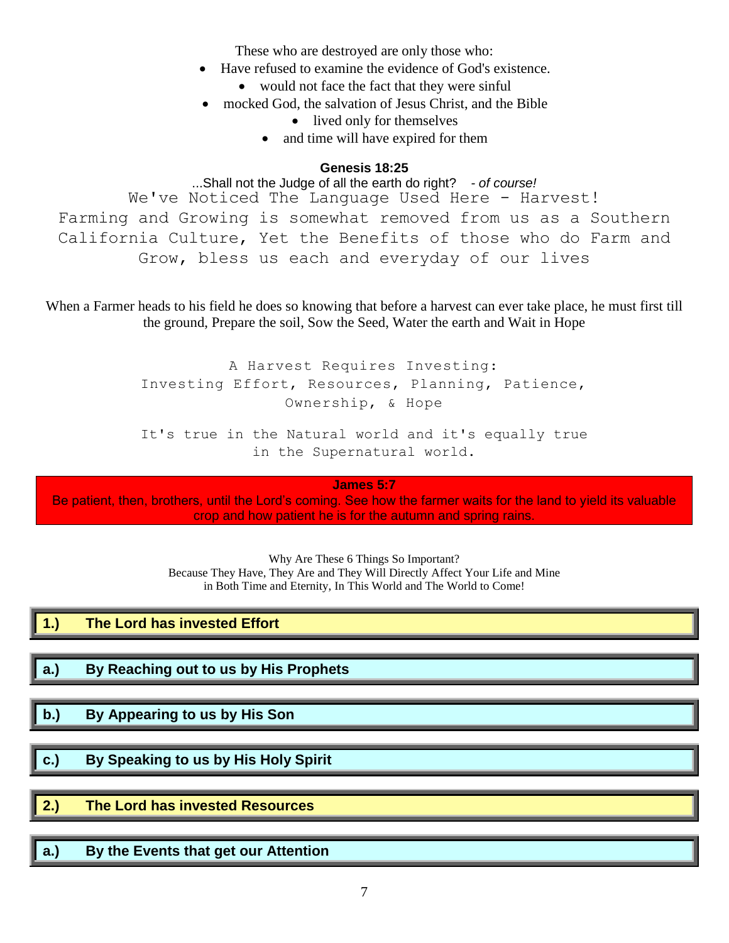These who are destroyed are only those who:

- Have refused to examine the evidence of God's existence.
	- would not face the fact that they were sinful
- mocked God, the salvation of Jesus Christ, and the Bible
	- lived only for themselves
	- and time will have expired for them

## **Genesis 18:25**

...Shall not the Judge of all the earth do right? *- of course!* We've Noticed The Language Used Here - Harvest! Farming and Growing is somewhat removed from us as a Southern California Culture, Yet the Benefits of those who do Farm and Grow, bless us each and everyday of our lives

When a Farmer heads to his field he does so knowing that before a harvest can ever take place, he must first till the ground, Prepare the soil, Sow the Seed, Water the earth and Wait in Hope

> A Harvest Requires Investing: Investing Effort, Resources, Planning, Patience, Ownership, & Hope

> It's true in the Natural world and it's equally true in the Supernatural world.

> > **James 5:7**

Be patient, then, brothers, until the Lord's coming. See how the farmer waits for the land to yield its valuable crop and how patient he is for the autumn and spring rains.

> Why Are These 6 Things So Important? Because They Have, They Are and They Will Directly Affect Your Life and Mine in Both Time and Eternity, In This World and The World to Come!

|             | The Lord has invested Effort          |  |
|-------------|---------------------------------------|--|
|             |                                       |  |
| <u>∥</u> a. | By Reaching out to us by His Prophets |  |

- **b.) By Appearing to us by His Son**
- **c.) By Speaking to us by His Holy Spirit**
- **2.) The Lord has invested Resources**
- **a.) By the Events that get our Attention**